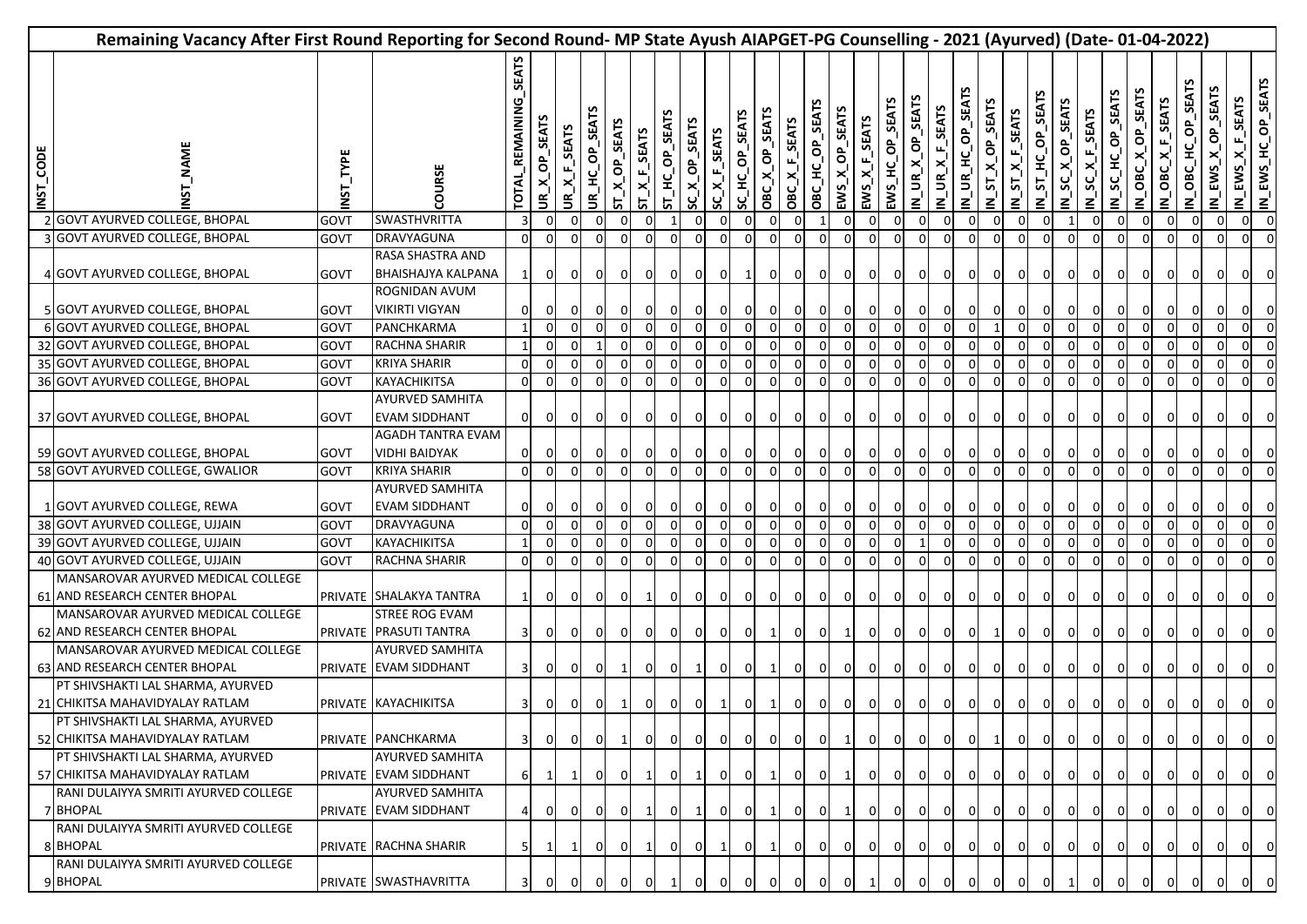| Remaining Vacancy After First Round Reporting for Second Round- MP State Ayush AIAPGET-PG Counselling - 2021 (Ayurved) (Date- 01-04-2022) |                                                                                                        |              |                                                                |                       |                            |                 |                          |               |                  |                |                             |                |                |                |                            |                            |                                           |                                            |                           |                  |                            |                            |                  |                                                |                           |                      |                            |                                |                                                                             |                          |                   |                    |                                        |                          |
|-------------------------------------------------------------------------------------------------------------------------------------------|--------------------------------------------------------------------------------------------------------|--------------|----------------------------------------------------------------|-----------------------|----------------------------|-----------------|--------------------------|---------------|------------------|----------------|-----------------------------|----------------|----------------|----------------|----------------------------|----------------------------|-------------------------------------------|--------------------------------------------|---------------------------|------------------|----------------------------|----------------------------|------------------|------------------------------------------------|---------------------------|----------------------|----------------------------|--------------------------------|-----------------------------------------------------------------------------|--------------------------|-------------------|--------------------|----------------------------------------|--------------------------|
| INST_CODE                                                                                                                                 | <b>NAME</b>                                                                                            | TYPE<br>INST | COURSE                                                         | TOTAL_REMAINING_SEATS | <b>SEATS</b><br>$UR_{X}QP$ | UR_X_F_SEATS    | <b>SEATS</b><br>UR_HC_OP | ST_X_OP_SEATS | $ST\_X_F$ _SEATS | ST_HC_OP_SEATS | <b>SEATS</b><br>$SC\_X\_OP$ | SC_X_F_SEATS   | SC_HC_OP_SEATS | OBC_X_OP_SEATS | OBC_X_F_SEATS              | OBC_HC_OP_SEATS            | <b>SEATS</b><br>$X_0$<br>EWS <sub>-</sub> | $EWS_{\underline{X}}F_{\underline{S}}EATS$ | <b>SEAT</b><br>EWS_HC_OP_ | IN_UR_X_OP_SEATS | IN_UR_X_F_SEATS            | IN_UR_HC_OP_SEA            | IN_ST_X_OP_SEATS | $N_S T_X F_S EATS$                             | IN_ST_HC_OP_SEATS         | SC_X_OP_SEAT<br>Ξ    | <b>SEATS</b><br>IN_SC_X_F_ | <b>SEATS</b><br>SC_HC_OP<br>≧ٰ | <b>SEA</b><br>$\sigma$<br>×<br>OBC<br>$\boldsymbol{\underline{z}}^{\prime}$ | ×<br>OBC<br>z            | HC OP<br>OBC<br>≧ | EWS_X_OP_SEAT<br>Ζ | IN_EWS_X_F_SEATS<br>IN_EWS_HC_OP_SEATS |                          |
|                                                                                                                                           | 2 GOVT AYURVED COLLEGE, BHOPAL                                                                         | GOVT         | SWASTHVRITTA                                                   |                       | $\overline{0}$             |                 |                          |               |                  |                |                             |                |                |                | $\mathbf 0$                |                            | $\mathbf 0$                               |                                            | 0                         | 0                | 0                          | 0                          | $\overline{0}$   | $\overline{0}$                                 | $\overline{0}$            |                      | $\overline{0}$             | $\overline{0}$                 | $\overline{0}$                                                              | $\overline{0}$           | $\mathbf 0$       | 0                  | $\overline{0}$                         |                          |
|                                                                                                                                           | 3 GOVT AYURVED COLLEGE, BHOPAL                                                                         | GOVT         | <b>DRAVYAGUNA</b>                                              | $\Omega$              |                            |                 |                          |               |                  |                |                             |                |                |                | $\Omega$                   | $\Omega$                   | $\mathbf 0$                               | 0                                          | $\mathbf 0$               |                  | $\Omega$                   | $\Omega$                   | $\overline{0}$   | $\overline{0}$                                 | $\overline{0}$            |                      | $\Omega$                   | $\Omega$                       | $\Omega$                                                                    |                          |                   |                    | $\Omega$                               |                          |
|                                                                                                                                           | 4 GOVT AYURVED COLLEGE, BHOPAL                                                                         | GOVT         | RASA SHASTRA AND<br><b>BHAISHAJYA KALPANA</b><br>ROGNIDAN AVUM |                       | $\overline{0}$             | $\overline{0}$  |                          |               | 0                | 0              | 0                           | 0              |                | 0              | $\overline{0}$             | $\overline{0}$             | $\overline{0}$                            | $\mathbf{0}$                               | $\overline{0}$            |                  | 0                          | $\overline{0}$             | $\overline{0}$   | 0                                              | $\circ$                   | $\overline{0}$       | $\mathbf{0}$               | 0                              | $\overline{0}$                                                              | $\mathbf{0}$             |                   |                    | 0                                      | 0                        |
|                                                                                                                                           | 5 GOVT AYURVED COLLEGE, BHOPAL                                                                         | GOVT         | <b>VIKIRTI VIGYAN</b>                                          |                       | 0l                         |                 |                          |               | $\Omega$         |                | $\Omega$                    |                | $\Omega$       |                | οI                         |                            | οI                                        |                                            | $\mathbf{0}$              |                  | $\Omega$                   | 0                          | $\overline{0}$   | $\mathbf{0}$                                   | $\overline{0}$            | $\overline{0}$       | $\mathbf{0}$               |                                |                                                                             |                          |                   |                    |                                        | 0                        |
|                                                                                                                                           | 6 GOVT AYURVED COLLEGE, BHOPAL                                                                         | GOVT         | PANCHKARMA                                                     |                       | $\Omega$                   |                 |                          |               | $\Omega$         | $\Omega$       | $\Omega$                    |                |                | $\Omega$       | $\Omega$                   | $\Omega$                   |                                           |                                            |                           |                  |                            |                            |                  | $\Omega$                                       | $\Omega$                  | $\Omega$             | $\mathbf{0}$               | $\Omega$                       |                                                                             |                          |                   |                    | $\mathbf{0}$                           |                          |
|                                                                                                                                           | 32 GOVT AYURVED COLLEGE, BHOPAL                                                                        | GOVT         | RACHNA SHARIR                                                  |                       | 0I                         | $\Omega$        |                          |               | $\Omega$         | $\Omega$       | $\Omega$                    |                |                | $\Omega$       | $\mathbf 0$                | $\Omega$                   | $\Omega$                                  |                                            |                           |                  |                            |                            | $\overline{0}$   | $\overline{0}$                                 | οI                        | $\Omega$             | $\mathbf{0}$               | $\Omega$                       | $\Omega$                                                                    | $\Omega$                 |                   | $\Omega$           | $\Omega$                               |                          |
|                                                                                                                                           | 35 GOVT AYURVED COLLEGE, BHOPAL                                                                        | GOVT         | <b>KRIYA SHARIR</b>                                            | $\Omega$              | $\overline{0}$             |                 |                          |               |                  |                |                             |                |                |                | $\Omega$                   | $\Omega$                   | $\mathbf 0$                               | 0                                          | $\Omega$                  |                  |                            |                            | $\Omega$         | $\overline{0}$                                 | 0                         |                      | $\Omega$                   | 0                              | $\Omega$                                                                    | $\Omega$                 |                   |                    | $\Omega$                               |                          |
|                                                                                                                                           | 36 GOVT AYURVED COLLEGE, BHOPAL                                                                        | <b>GOVT</b>  | KAYACHIKITSA                                                   | $\mathbf{0}$          | $\overline{0}$             | $\Omega$        |                          |               | $\Omega$         | $\Omega$       | $\Omega$                    | $\Omega$       | $\Omega$       | $\mathbf 0$    | $\overline{0}$             | $\overline{0}$             | $\overline{0}$                            | 0                                          | 0                         | $\Omega$         | $\Omega$                   | $\Omega$                   | $\overline{0}$   | $\overline{0}$                                 | $\mathbf{0}$              | 0                    | $\overline{0}$             | 0                              | 0I                                                                          | $\overline{0}$           | $\Omega$          | $\Omega$           | $\Omega$                               | $\Omega$                 |
|                                                                                                                                           | 37 GOVT AYURVED COLLEGE, BHOPAL                                                                        | GOVT         | AYURVED SAMHITA<br><b>EVAM SIDDHANT</b>                        | $\overline{0}$        | $\overline{0}$             | 0I              | 0                        | 0             | $\overline{0}$   | $\mathbf{O}$   | $\overline{0}$              | $\mathbf 0$    | $\overline{0}$ | $\overline{0}$ | $\overline{0}$             | $\overline{0}$             | $\overline{0}$                            | $\overline{0}$                             | $\overline{0}$            | 0                | $\mathbf{0}$               | $\overline{0}$             | $\overline{0}$   | $\overline{0}$                                 | $\overline{0}$            | $\overline{0}$       | $\overline{0}$             | $\overline{0}$                 | $\overline{0}$                                                              | $\mathbf{0}$             | $\mathbf{0}$      |                    | 01                                     |                          |
|                                                                                                                                           | 59 GOVT AYURVED COLLEGE, BHOPAL                                                                        | GOVT         | AGADH TANTRA EVAM<br><b>VIDHI BAIDYAK</b>                      |                       | $\overline{0}$             |                 | 0                        | 0I            | $\overline{0}$   | $\mathbf 0$    | $\overline{0}$              | $\mathbf{0}$   | $\mathbf{0}$   | 0              | $\overline{0}$             | $\overline{0}$             | $\overline{0}$                            | $\overline{0}$                             | 0                         | 01               | $\overline{0}$             | $\overline{0}$             | $\overline{0}$   | $\overline{0}$                                 | $\mathbf{0}$              | $\overline{0}$       | $\overline{0}$             | $\overline{0}$                 | $\overline{0}$                                                              | $\overline{0}$           | $\mathbf{0}$      | 0                  | $\overline{0}$                         | $\overline{\mathbf{0}}$  |
|                                                                                                                                           | 58 GOVT AYURVED COLLEGE, GWALIOR                                                                       | <b>GOVT</b>  | <b>KRIYA SHARIR</b>                                            | $\Omega$              |                            |                 |                          |               |                  |                |                             |                |                | $\mathbf 0$    | $\mathbf 0$                | $\overline{0}$             | 0                                         | 0                                          | 0                         | 0                | $\mathbf 0$                | $\overline{0}$             | $\overline{0}$   | $\overline{0}$                                 | $\mathsf{O}$              | 0                    | $\overline{0}$             | $\overline{0}$                 | $\overline{0}$                                                              | $\overline{0}$           |                   |                    | $\overline{0}$                         |                          |
|                                                                                                                                           | 1 GOVT AYURVED COLLEGE, REWA                                                                           | GOVT         | AYURVED SAMHITA<br><b>EVAM SIDDHANT</b>                        |                       |                            |                 |                          |               |                  |                |                             |                |                |                | $\overline{0}$             | $\mathbf 0$                | $\overline{0}$                            | $\mathbf{0}$                               | $\mathbf{0}$              |                  |                            | $\mathbf 0$                | $\overline{0}$   | 0                                              | $\overline{0}$            | $\mathbf{0}$         | $\overline{0}$             | $\overline{0}$                 |                                                                             |                          |                   |                    |                                        | 0                        |
|                                                                                                                                           | 38 GOVT AYURVED COLLEGE, UJJAIN                                                                        | GOVT         | DRAVYAGUNA                                                     | $\Omega$              |                            |                 |                          |               |                  |                |                             |                |                | $\Omega$       | $\Omega$                   | $\Omega$                   |                                           |                                            |                           |                  |                            | $\Omega$                   |                  | $\Omega$                                       | $\Omega$                  | $\Omega$             | $\Omega$                   | $\Omega$                       | $\Omega$                                                                    | $\Omega$                 | $\Omega$          | $\Omega$           | 0l                                     | $\overline{\mathbf{0}}$  |
|                                                                                                                                           | 39 GOVT AYURVED COLLEGE, UJJAIN                                                                        | GOVT         | KAYACHIKITSA                                                   |                       | $\Omega$                   | $\Omega$        |                          |               | $\Omega$         |                |                             |                | $\Omega$       | $\Omega$       | $\Omega$                   | $\Omega$                   | $\Omega$                                  | $\Omega$                                   | $\Omega$                  |                  |                            |                            | $\Omega$         | $\Omega$                                       | $\Omega$                  |                      | ΩI                         | $\Omega$                       | $\Omega$                                                                    | $\Omega$                 | $\Omega$          | $\Omega$           | ΩI                                     | 0                        |
|                                                                                                                                           | 40 GOVT AYURVED COLLEGE, UJJAIN<br>MANSAROVAR AYURVED MEDICAL COLLEGE<br>61 AND RESEARCH CENTER BHOPAL | GOVT         | RACHNA SHARIR<br>PRIVATE SHALAKYA TANTRA                       | $\Omega$              | $\Omega$<br>οI             | $\Omega$<br>0 I |                          |               | $\Omega$<br>1    | $\Omega$<br>ΟI | $\Omega$<br>οI              | $\Omega$<br>01 | $\Omega$<br>0  | $\Omega$<br>0  | $\Omega$<br>$\overline{0}$ | $\Omega$<br>$\overline{0}$ | $\Omega$<br>$\overline{0}$                | $\Omega$<br>$\overline{0}$                 | $\Omega$<br>$\circ$       | 0                | $\Omega$<br>$\overline{0}$ | $\Omega$<br>$\overline{0}$ | $\Omega$         | $\mathbf{0}$<br>$0 \quad 0$                    | $\circ$<br>$\overline{0}$ | 0l<br>$\overline{0}$ | οI<br>$\overline{0}$       | $\Omega$<br>$\overline{0}$     | $\Omega$<br>$\overline{0}$                                                  | $\Omega$<br>$\mathbf{0}$ | $\mathbf{0}$      | 0                  | $\Omega$<br>01                         |                          |
|                                                                                                                                           | MANSAROVAR AYURVED MEDICAL COLLEGE<br>62 AND RESEARCH CENTER BHOPAL                                    |              | STREE ROG EVAM<br>PRIVATE PRASUTI TANTRA                       |                       | οI                         | 0 I             | 0 I                      |               | - O I            | 0              | 0                           | 0              | 0              |                | $\mathbf{0}$               | $\overline{0}$             | 1                                         | $\circ$                                    | $\mathbf{0}$              | 0                | 01                         | $\overline{0}$             | 1                | $\overline{0}$                                 | $\overline{0}$            | $\mathbf{0}$         | $\overline{0}$             | $\overline{0}$                 | $\overline{0}$                                                              | $\overline{0}$           | $\overline{0}$    | 0                  | 0                                      |                          |
|                                                                                                                                           | MANSAROVAR AYURVED MEDICAL COLLEGE<br>63 AND RESEARCH CENTER BHOPAL                                    |              | AYURVED SAMHITA<br>PRIVATE EVAM SIDDHANT                       |                       | 0I                         | 0 I             | 0                        | 1             | $\mathbf{0}$     | $\mathbf{O}$   | $\mathbf{1}$                | 01             | $\overline{0}$ | -1             | $\overline{0}$             | $\overline{0}$             | $\overline{0}$                            | $\overline{0}$                             | $\mathbf{O}$              | $\mathbf 0$      | $\overline{0}$             | $\overline{0}$             | $\overline{0}$   | $\overline{0}$                                 | $\overline{0}$            | $\overline{0}$       | $\overline{0}$             | $\overline{0}$                 | $\overline{0}$                                                              | $\overline{0}$           | $\mathbf 0$       |                    | 0                                      | 0                        |
|                                                                                                                                           | PT SHIVSHAKTI LAL SHARMA, AYURVED<br>21 CHIKITSA MAHAVIDYALAY RATLAM                                   |              | PRIVATE KAYACHIKITSA                                           |                       | $\overline{0}$             | $\overline{0}$  | 01                       |               | $\overline{0}$   | $\mathbf{0}$   | $\overline{0}$              | $\mathbf{1}$   | $\overline{0}$ |                | $\overline{0}$             | $\overline{0}$             | $\overline{0}$                            | $\circ$                                    | $\circ$                   | $\overline{0}$   | $\overline{0}$             |                            |                  | $0$ 0 0 0                                      |                           | $\mathbf{0}$         | 0                          | $\overline{0}$                 | $\overline{0}$                                                              | 0                        | $\overline{0}$    | οı                 | $\overline{0}$                         | $\overline{\mathbf{0}}$  |
|                                                                                                                                           | PT SHIVSHAKTI LAL SHARMA, AYURVED<br>52 CHIKITSA MAHAVIDYALAY RATLAM                                   |              | PRIVATE PANCHKARMA                                             | 3I                    | 0                          | 01              |                          | $\vert$ 1     | 0                | 01             | $\mathbf{0}$                | οı             | 0              | $\mathbf{0}$   | $\overline{0}$             |                            | $0$ 1 0 0                                 |                                            |                           | $\overline{0}$   | $\overline{0}$             |                            | $0\quad 1$       |                                                | $ 0 $ 0                   | $\overline{0}$       | $\overline{0}$             | $\overline{0}$                 |                                                                             | $0$ $0$ $0$              |                   | $\overline{0}$     |                                        | $0\quad 0$               |
|                                                                                                                                           | PT SHIVSHAKTI LAL SHARMA, AYURVED<br>57 CHIKITSA MAHAVIDYALAY RATLAM                                   |              | AYURVED SAMHITA<br>PRIVATE EVAM SIDDHANT                       | 6I                    | $\mathbf{1}$               |                 |                          |               | $\mathbf{1}$     | -OI            |                             |                |                |                | οI                         | ΟI                         | $\mathbf{1}$                              | $\mathbf{0}$                               | $\mathbf{0}$              | $\mathbf{0}$     | $\overline{0}$             | $\overline{0}$             | $\overline{0}$   |                                                | $0 \quad 0$               | $\overline{0}$       | $\overline{0}$             | $\overline{0}$                 | $\mathbf{0}$                                                                | 0 I                      | -01               | 0                  | 0                                      | $\overline{\phantom{0}}$ |
|                                                                                                                                           | RANI DULAIYYA SMRITI AYURVED COLLEGE<br>7 BHOPAL                                                       |              | AYURVED SAMHITA<br>PRIVATE EVAM SIDDHANT                       |                       | $\mathsf{O}$               | OI              | 0 I                      | ΟI            | $\mathbf{1}$     | 01             | $\mathbf{1}$                | 01             | 0              | 1              | $\mathbf{0}$               |                            | $0 \quad 1$                               | $\overline{0}$                             | $\circ$                   | $\overline{0}$   | $\overline{0}$             |                            |                  | $\begin{array}{ccc} 0 & 0 & 0 & 0 \end{array}$ |                           | $\overline{0}$       | $\overline{0}$             | 0 I                            | $\overline{0}$                                                              | $\overline{0}$           | $\overline{0}$    | 0                  |                                        | $0 \big  0$              |
|                                                                                                                                           | RANI DULAIYYA SMRITI AYURVED COLLEGE<br>8 BHOPAL                                                       |              | PRIVATE RACHNA SHARIR                                          |                       | $\mathbf{1}$               | 1               | 0                        | 0             | $\vert$ 1        | 01             | $\overline{0}$              | 1              | 0              | -1             | $\mathbf{0}$               | $\overline{0}$             |                                           | $0 \quad 0$                                | $\overline{0}$            | $\overline{0}$   | $\overline{0}$             |                            |                  | $\begin{array}{ccc} 0 & 0 & 0 & 0 \end{array}$ |                           | $\overline{0}$       | $\overline{0}$             | $\overline{0}$                 | $\overline{0}$                                                              | $\overline{0}$           | $\overline{0}$    | $\overline{0}$     |                                        | $ 0 $ 0                  |
|                                                                                                                                           | RANI DULAIYYA SMRITI AYURVED COLLEGE<br>9 BHOPAL                                                       |              | PRIVATE SWASTHAVRITTA                                          |                       |                            |                 |                          |               |                  |                |                             |                |                |                |                            |                            |                                           |                                            |                           |                  |                            |                            |                  |                                                |                           |                      |                            |                                |                                                                             |                          |                   |                    |                                        |                          |